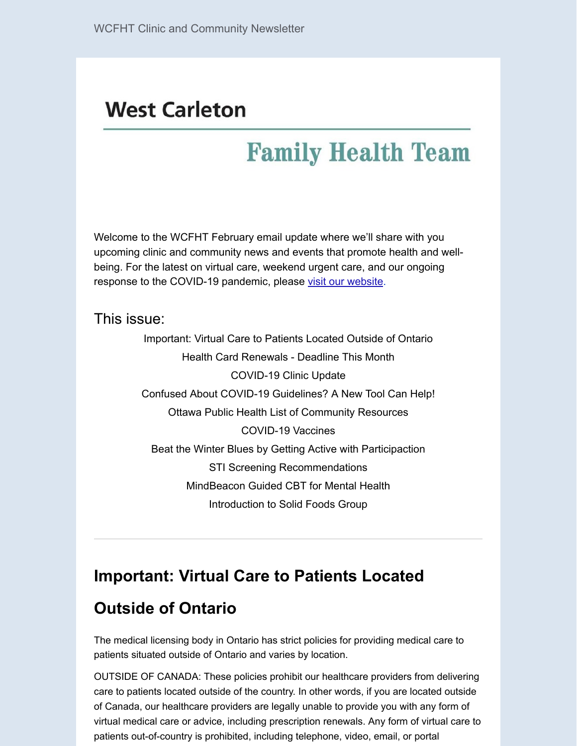# **West Carleton**

# **Family Health Team**

Welcome to the WCFHT February email update where we'll share with you upcoming clinic and community news and events that promote health and wellbeing. For the latest on virtual care, weekend urgent care, and our ongoing response to the COVID-19 pandemic, please [visit our website](https://www.wcfht.ca/).

This issue:

Important: Virtual Care to Patients Located Outside of Ontario Health Card Renewals - Deadline This Month COVID-19 Clinic Update Confused About COVID-19 Guidelines? A New Tool Can Help! Ottawa Public Health List of Community Resources COVID-19 Vaccines Beat the Winter Blues by Getting Active with Participaction STI Screening Recommendations MindBeacon Guided CBT for Mental Health Introduction to Solid Foods Group

### **Important: Virtual Care to Patients Located**

### **Outside of Ontario**

The medical licensing body in Ontario has strict policies for providing medical care to patients situated outside of Ontario and varies by location.

OUTSIDE OF CANADA: These policies prohibit our healthcare providers from delivering care to patients located outside of the country. In other words, if you are located outside of Canada, our healthcare providers are legally unable to provide you with any form of virtual medical care or advice, including prescription renewals. Any form of virtual care to patients out-of-country is prohibited, including telephone, video, email, or portal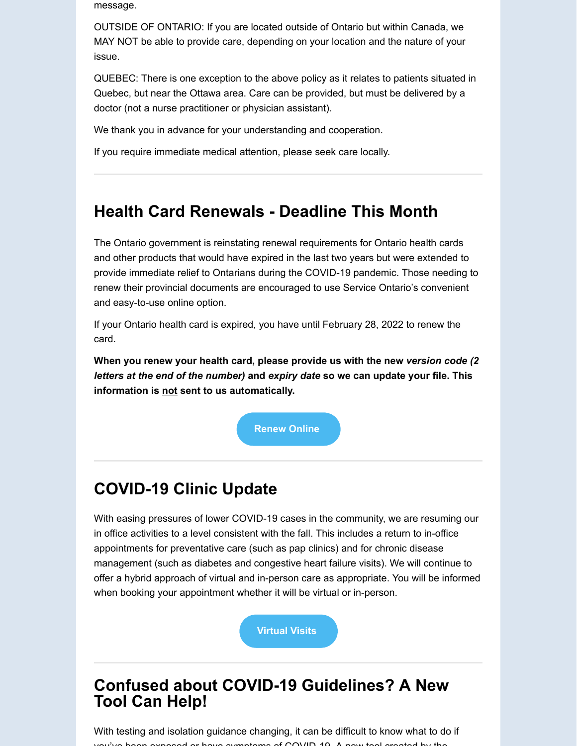message.

OUTSIDE OF ONTARIO: If you are located outside of Ontario but within Canada, we MAY NOT be able to provide care, depending on your location and the nature of your issue.

QUEBEC: There is one exception to the above policy as it relates to patients situated in Quebec, but near the Ottawa area. Care can be provided, but must be delivered by a doctor (not a nurse practitioner or physician assistant).

We thank you in advance for your understanding and cooperation.

If you require immediate medical attention, please seek care locally.

### **Health Card Renewals - Deadline This Month**

The Ontario government is reinstating renewal requirements for Ontario health cards and other products that would have expired in the last two years but were extended to provide immediate relief to Ontarians during the COVID-19 pandemic. Those needing to renew their provincial documents are encouraged to use Service Ontario's convenient and easy-to-use online option.

If your Ontario health card is expired, you have until February 28, 2022 to renew the card.

**When you renew your health card, please provide us with the new** *version code (2 letters at the end of the number)* **and** *expiry date* **so we can update your file. This information is not sent to us automatically.**

**[Renew Online](https://www.ontario.ca/page/health-card-renewal#section-0)**

### **COVID-19 Clinic Update**

With easing pressures of lower COVID-19 cases in the community, we are resuming our in office activities to a level consistent with the fall. This includes a return to in-office appointments for preventative care (such as pap clinics) and for chronic disease management (such as diabetes and congestive heart failure visits). We will continue to offer a hybrid approach of virtual and in-person care as appropriate. You will be informed when booking your appointment whether it will be virtual or in-person.

**[Virtual Visits](https://www.wcfht.ca/virtual-appointments.html)**

### **Confused about COVID-19 Guidelines? A New Tool Can Help!**

With testing and isolation guidance changing, it can be difficult to know what to do if  $y_0$  and  $y_0$  beys symptoms of COVID 10 A new tool created by the symptoms of COVID 19 A new tool created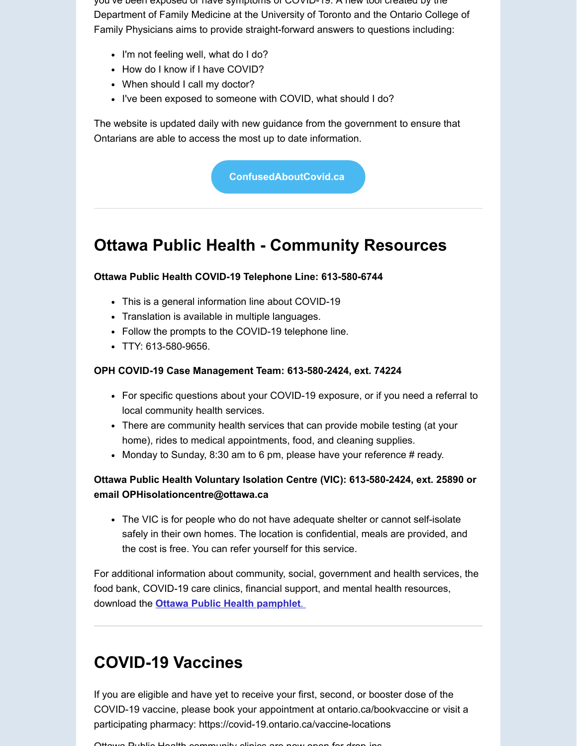you ve been exposed or have symptoms of COVID-19. A new tool created by the Department of Family Medicine at the University of Toronto and the Ontario College of Family Physicians aims to provide straight-forward answers to questions including:

- I'm not feeling well, what do I do?
- How do I know if I have COVID?
- When should I call my doctor?
- I've been exposed to someone with COVID, what should I do?

The website is updated daily with new guidance from the government to ensure that Ontarians are able to access the most up to date information.

**[ConfusedAboutCovid.ca](https://dfcm.utoronto.ca/confused-about-covid)**

### **Ottawa Public Health - Community Resources**

#### **Ottawa Public Health COVID-19 Telephone Line: 613-580-6744**

- This is a general information line about COVID-19
- Translation is available in multiple languages.
- Follow the prompts to the COVID-19 telephone line.
- TTY: 613-580-9656.

#### **OPH COVID-19 Case Management Team: 613-580-2424, ext. 74224**

- For specific questions about your COVID-19 exposure, or if you need a referral to local community health services.
- There are community health services that can provide mobile testing (at your home), rides to medical appointments, food, and cleaning supplies.
- Monday to Sunday, 8:30 am to 6 pm, please have your reference # ready.

#### **Ottawa Public Health Voluntary Isolation Centre (VIC): 613-580-2424, ext. 25890 or email OPHisolationcentre@ottawa.ca**

• The VIC is for people who do not have adequate shelter or cannot self-isolate safely in their own homes. The location is confidential, meals are provided, and the cost is free. You can refer yourself for this service.

For additional information about community, social, government and health services, the food bank, COVID-19 care clinics, financial support, and mental health resources, download the **[Ottawa Public Health pamphlet](https://www.wcfht.ca/uploads/1/2/3/0/123093388/communityresources_en.pdf)**.

### **COVID-19 Vaccines**

If you are eligible and have yet to receive your first, second, or booster dose of the COVID-19 vaccine, please book your appointment at ontario.ca/bookvaccine or visit a participating pharmacy: https://covid-19.ontario.ca/vaccine-locations

Ottawa Public Health community clinics are now open for drop ins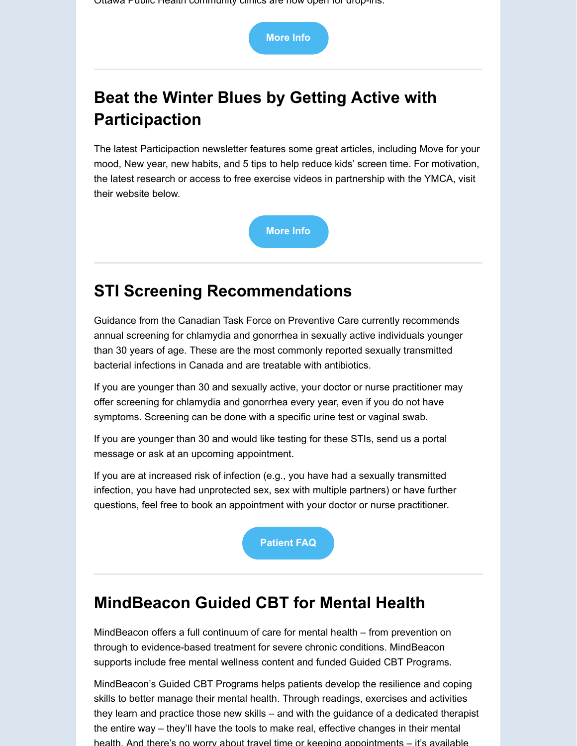Ottawa Public Health community clinics are now open for drop-ins.



# **Beat the Winter Blues by Getting Active with Participaction**

The latest Participaction newsletter features some great articles, including Move for your mood, New year, new habits, and 5 tips to help reduce kids' screen time. For motivation, the latest research or access to free exercise videos in partnership with the YMCA, visit their website below.



## **STI Screening Recommendations**

Guidance from the Canadian Task Force on Preventive Care currently recommends annual screening for chlamydia and gonorrhea in sexually active individuals younger than 30 years of age. These are the most commonly reported sexually transmitted bacterial infections in Canada and are treatable with antibiotics.

If you are younger than 30 and sexually active, your doctor or nurse practitioner may offer screening for chlamydia and gonorrhea every year, even if you do not have symptoms. Screening can be done with a specific urine test or vaginal swab.

If you are younger than 30 and would like testing for these STIs, send us a portal message or ask at an upcoming appointment.

If you are at increased risk of infection (e.g., you have had a sexually transmitted infection, you have had unprotected sex, sex with multiple partners) or have further questions, feel free to book an appointment with your doctor or nurse practitioner.

**[Patient FAQ](https://canadiantaskforce.ca/wp-content/uploads/2021/03/CTFPHC_CG-Screening_Patient-FAQ_Final.pdf)**

### **MindBeacon Guided CBT for Mental Health**

MindBeacon offers a full continuum of care for mental health – from prevention on through to evidence-based treatment for severe chronic conditions. MindBeacon supports include free mental wellness content and funded Guided CBT Programs.

MindBeacon's Guided CBT Programs helps patients develop the resilience and coping skills to better manage their mental health. Through readings, exercises and activities they learn and practice those new skills – and with the guidance of a dedicated therapist the entire way – they'll have the tools to make real, effective changes in their mental health. And there's no worry about travel time or keeping appointments – it's available